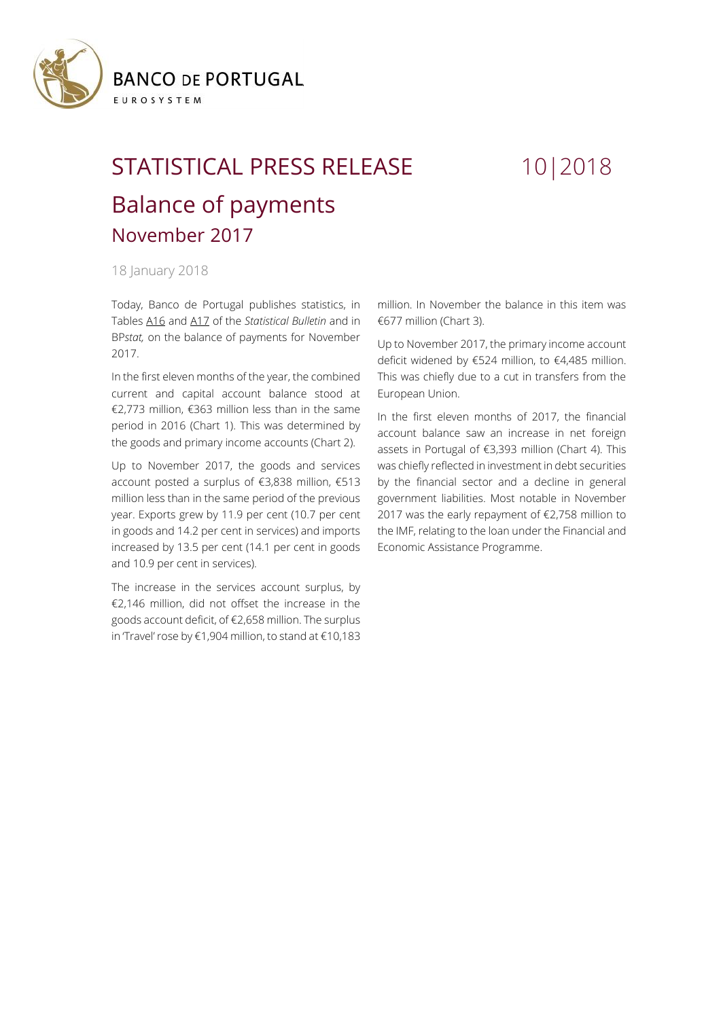

## STATISTICAL PRESS RELEASE 10|2018 Balance of payments November 2017

## 18 January 2018

Today, Banco de Portugal publishes statistics, in Tables [A16](https://www.bportugal.pt/sites/default/files/anexos/16-balanca_pagamentos_en.pdf) and [A17](https://www.bportugal.pt/sites/default/files/anexos/17-comercio_internacional_bens_servicos_en.pdf) of the *Statistical Bulletin* and in BP*stat,* on the balance of payments for November 2017.

In the first eleven months of the year, the combined current and capital account balance stood at €2,773 million, €363 million less than in the same period in 2016 (Chart 1). This was determined by the goods and primary income accounts (Chart 2).

Up to November 2017, the goods and services account posted a surplus of €3,838 million, €513 million less than in the same period of the previous year. Exports grew by 11.9 per cent (10.7 per cent in goods and 14.2 per cent in services) and imports increased by 13.5 per cent (14.1 per cent in goods and 10.9 per cent in services).

The increase in the services account surplus, by €2,146 million, did not offset the increase in the goods account deficit, of €2,658 million. The surplus in 'Travel' rose by €1,904 million, to stand at €10,183

million. In November the balance in this item was €677 million (Chart 3).

Up to November 2017, the primary income account deficit widened by €524 million, to €4,485 million. This was chiefly due to a cut in transfers from the European Union.

In the first eleven months of 2017, the financial account balance saw an increase in net foreign assets in Portugal of €3,393 million (Chart 4). This was chiefly reflected in investment in debt securities by the financial sector and a decline in general government liabilities. Most notable in November 2017 was the early repayment of €2,758 million to the IMF, relating to the loan under the Financial and Economic Assistance Programme.